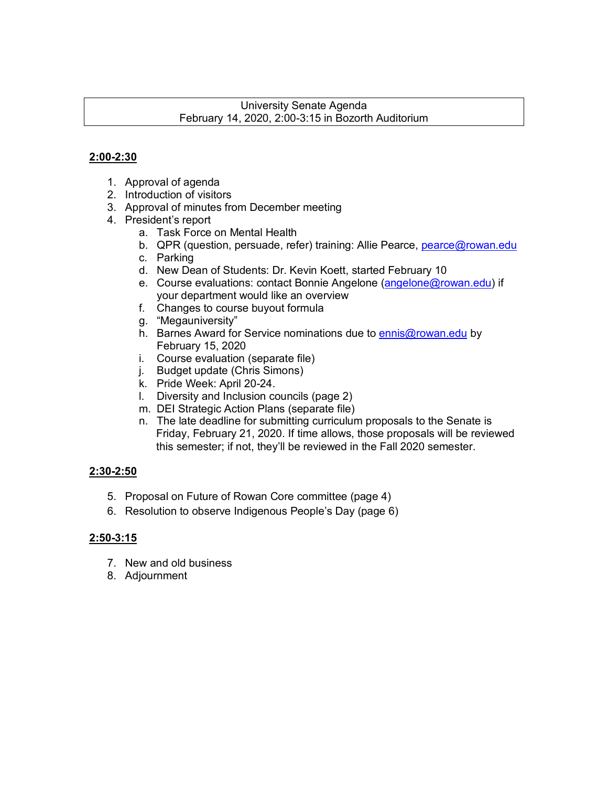#### University Senate Agenda February 14, 2020, 2:00-3:15 in Bozorth Auditorium

#### **2:00-2:30**

- 1. Approval of agenda
- 2. Introduction of visitors
- 3. Approval of minutes from December meeting
- 4. President's report
	- a. Task Force on Mental Health
	- b. QPR (question, persuade, refer) training: Allie Pearce, pearce@rowan.edu
	- c. Parking
	- d. New Dean of Students: Dr. Kevin Koett, started February 10
	- e. Course evaluations: contact Bonnie Angelone (angelone@rowan.edu) if your department would like an overview
	- f. Changes to course buyout formula
	- g. "Megauniversity"
	- h. Barnes Award for Service nominations due to **ennis@rowan.edu** by February 15, 2020
	- i. Course evaluation (separate file)
	- j. Budget update (Chris Simons)
	- k. Pride Week: April 20-24.
	- l. Diversity and Inclusion councils (page 2)
	- m. DEI Strategic Action Plans (separate file)
	- n. The late deadline for submitting curriculum proposals to the Senate is Friday, February 21, 2020. If time allows, those proposals will be reviewed this semester; if not, they'll be reviewed in the Fall 2020 semester.

#### **2:30-2:50**

- 5. Proposal on Future of Rowan Core committee (page 4)
- 6. Resolution to observe Indigenous People's Day (page 6)

#### **2:50-3:15**

- 7. New and old business
- 8. Adjournment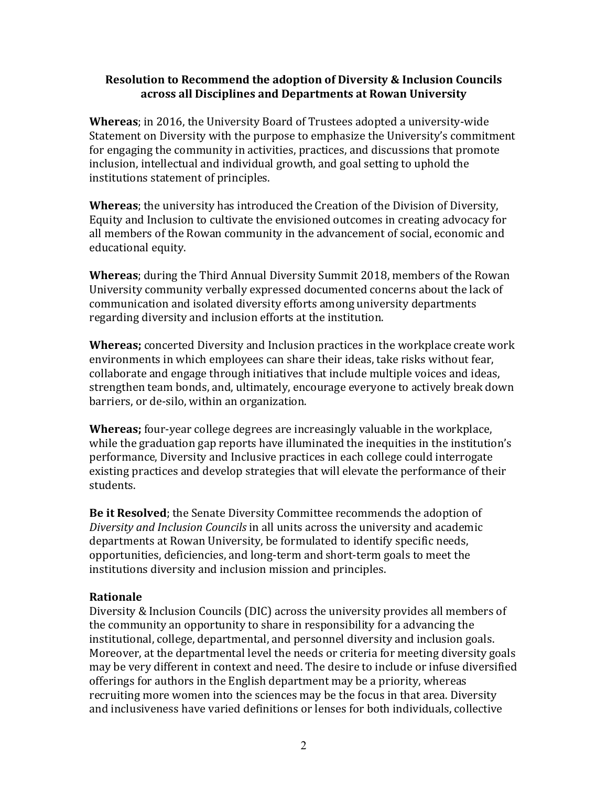#### **Resolution to Recommend the adoption of Diversity & Inclusion Councils across all Disciplines and Departments at Rowan University**

**Whereas**; in 2016, the University Board of Trustees adopted a university-wide Statement on Diversity with the purpose to emphasize the University's commitment for engaging the community in activities, practices, and discussions that promote inclusion, intellectual and individual growth, and goal setting to uphold the institutions statement of principles.

**Whereas**; the university has introduced the Creation of the Division of Diversity, Equity and Inclusion to cultivate the envisioned outcomes in creating advocacy for all members of the Rowan community in the advancement of social, economic and educational equity.

**Whereas**; during the Third Annual Diversity Summit 2018, members of the Rowan University community verbally expressed documented concerns about the lack of communication and isolated diversity efforts among university departments regarding diversity and inclusion efforts at the institution.

**Whereas;** concerted Diversity and Inclusion practices in the workplace create work environments in which employees can share their ideas, take risks without fear, collaborate and engage through initiatives that include multiple voices and ideas, strengthen team bonds, and, ultimately, encourage everyone to actively break down barriers, or de-silo, within an organization.

**Whereas;** four-year college degrees are increasingly valuable in the workplace, while the graduation gap reports have illuminated the inequities in the institution's performance, Diversity and Inclusive practices in each college could interrogate existing practices and develop strategies that will elevate the performance of their students.

**Be it Resolved**; the Senate Diversity Committee recommends the adoption of *Diversity and Inclusion Councils* in all units across the university and academic departments at Rowan University, be formulated to identify specific needs, opportunities, deficiencies, and long-term and short-term goals to meet the institutions diversity and inclusion mission and principles.

#### **Rationale**

Diversity & Inclusion Councils (DIC) across the university provides all members of the community an opportunity to share in responsibility for a advancing the institutional, college, departmental, and personnel diversity and inclusion goals. Moreover, at the departmental level the needs or criteria for meeting diversity goals may be very different in context and need. The desire to include or infuse diversified offerings for authors in the English department may be a priority, whereas recruiting more women into the sciences may be the focus in that area. Diversity and inclusiveness have varied definitions or lenses for both individuals, collective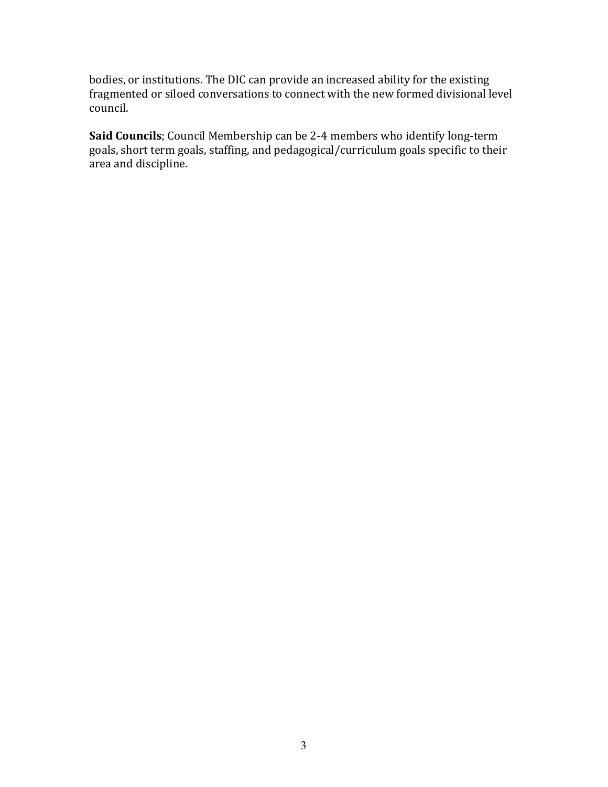bodies, or institutions. The DIC can provide an increased ability for the existing fragmented or siloed conversations to connect with the new formed divisional level council.

**Said Councils**; Council Membership can be 2-4 members who identify long-term goals, short term goals, staffing, and pedagogical/curriculum goals specific to their area and discipline.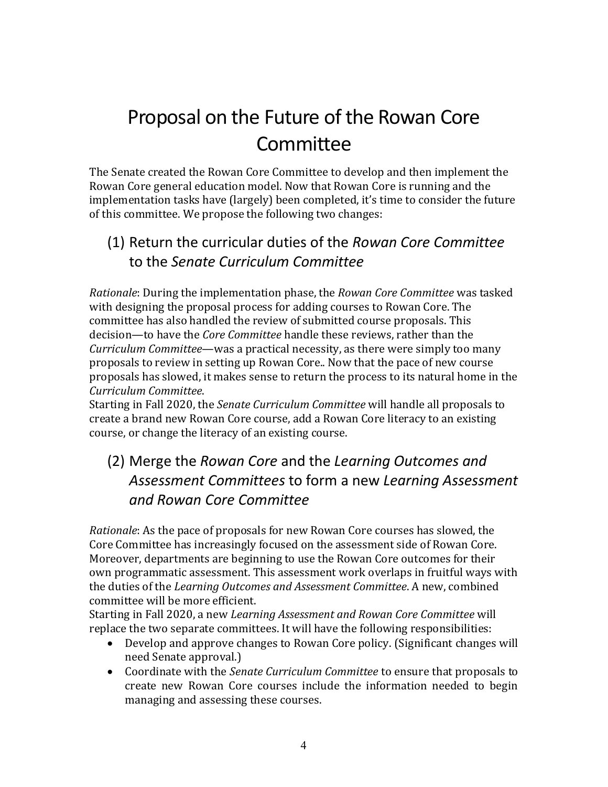# Proposal on the Future of the Rowan Core **Committee**

The Senate created the Rowan Core Committee to develop and then implement the Rowan Core general education model. Now that Rowan Core is running and the implementation tasks have (largely) been completed, it's time to consider the future of this committee. We propose the following two changes:

# (1) Return the curricular duties of the *Rowan Core Committee* to the *Senate Curriculum Committee*

*Rationale*: During the implementation phase, the *Rowan Core Committee* was tasked with designing the proposal process for adding courses to Rowan Core. The committee has also handled the review of submitted course proposals. This decision—to have the *Core Committee* handle these reviews, rather than the *Curriculum Committee*—was a practical necessity, as there were simply too many proposals to review in setting up Rowan Core.. Now that the pace of new course proposals has slowed, it makes sense to return the process to its natural home in the *Curriculum Committee*.

Starting in Fall 2020, the *Senate Curriculum Committee* will handle all proposals to create a brand new Rowan Core course, add a Rowan Core literacy to an existing course, or change the literacy of an existing course.

# (2) Merge the *Rowan Core* and the *Learning Outcomes and Assessment Committees* to form a new *Learning Assessment and Rowan Core Committee*

*Rationale*: As the pace of proposals for new Rowan Core courses has slowed, the Core Committee has increasingly focused on the assessment side of Rowan Core. Moreover, departments are beginning to use the Rowan Core outcomes for their own programmatic assessment. This assessment work overlaps in fruitful ways with the duties of the *Learning Outcomes and Assessment Committee*. A new, combined committee will be more efficient.

Starting in Fall 2020, a new *Learning Assessment and Rowan Core Committee* will replace the two separate committees. It will have the following responsibilities:

- Develop and approve changes to Rowan Core policy. (Significant changes will need Senate approval.)
- Coordinate with the *Senate Curriculum Committee* to ensure that proposals to create new Rowan Core courses include the information needed to begin managing and assessing these courses.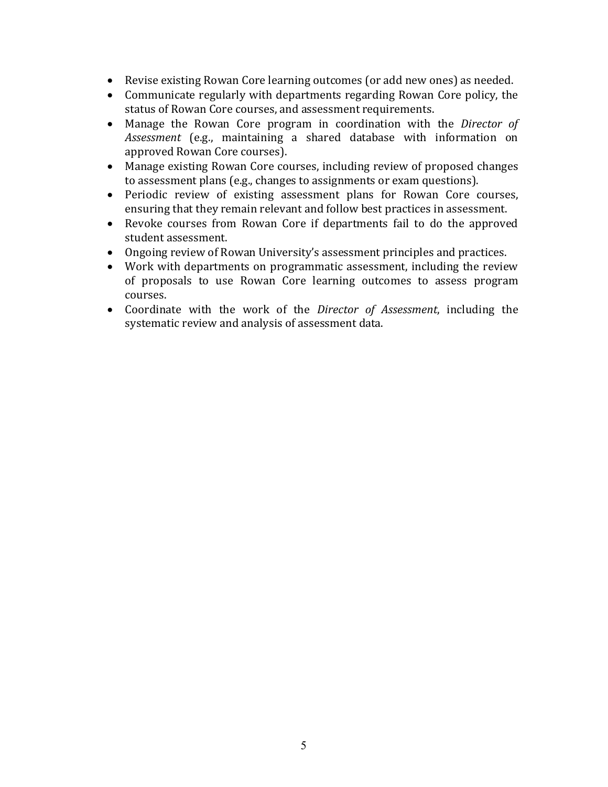- Revise existing Rowan Core learning outcomes (or add new ones) as needed.
- Communicate regularly with departments regarding Rowan Core policy, the status of Rowan Core courses, and assessment requirements.
- Manage the Rowan Core program in coordination with the *Director of Assessment* (e.g., maintaining a shared database with information on approved Rowan Core courses).
- Manage existing Rowan Core courses, including review of proposed changes to assessment plans (e.g., changes to assignments or exam questions).
- Periodic review of existing assessment plans for Rowan Core courses, ensuring that they remain relevant and follow best practices in assessment.
- Revoke courses from Rowan Core if departments fail to do the approved student assessment.
- Ongoing review of Rowan University's assessment principles and practices.
- Work with departments on programmatic assessment, including the review of proposals to use Rowan Core learning outcomes to assess program courses.
- Coordinate with the work of the *Director of Assessment*, including the systematic review and analysis of assessment data.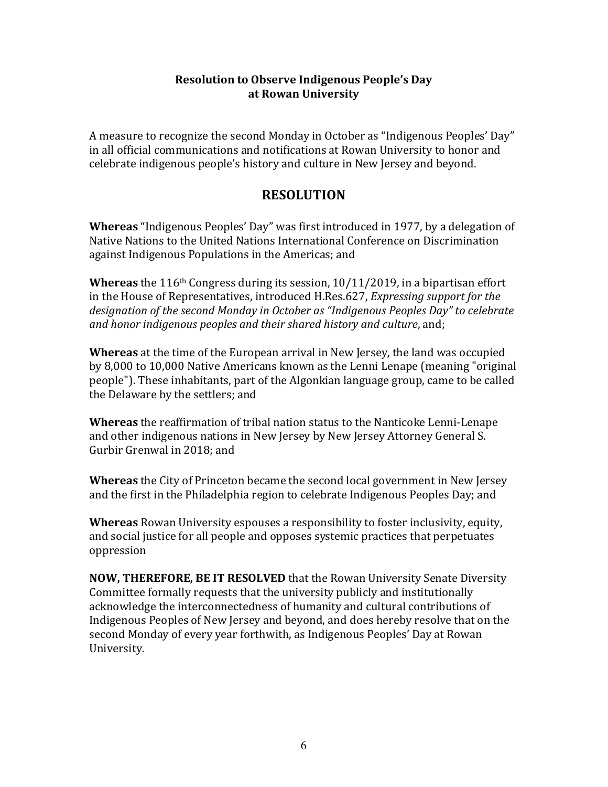#### **Resolution to Observe Indigenous People's Day at Rowan University**

A measure to recognize the second Monday in October as "Indigenous Peoples' Day" in all official communications and notifications at Rowan University to honor and celebrate indigenous people's history and culture in New Jersey and beyond.

# **RESOLUTION**

**Whereas** "Indigenous Peoples' Day" was first introduced in 1977, by a delegation of Native Nations to the United Nations International Conference on Discrimination against Indigenous Populations in the Americas; and

**Whereas** the 116<sup>th</sup> Congress during its session, 10/11/2019, in a bipartisan effort in the House of Representatives, introduced H.Res.627, *Expressing support for the* designation of the second Monday in October as "Indigenous Peoples Day" to celebrate and honor indigenous peoples and their shared history and culture, and;

**Whereas** at the time of the European arrival in New Jersey, the land was occupied by 8,000 to 10,000 Native Americans known as the Lenni Lenape (meaning "original people"). These inhabitants, part of the Algonkian language group, came to be called the Delaware by the settlers; and

**Whereas** the reaffirmation of tribal nation status to the Nanticoke Lenni-Lenape and other indigenous nations in New Jersey by New Jersey Attorney General S. Gurbir Grenwal in 2018; and

**Whereas** the City of Princeton became the second local government in New Jersey and the first in the Philadelphia region to celebrate Indigenous Peoples Day; and

**Whereas** Rowan University espouses a responsibility to foster inclusivity, equity, and social justice for all people and opposes systemic practices that perpetuates oppression

**NOW, THEREFORE, BE IT RESOLVED** that the Rowan University Senate Diversity Committee formally requests that the university publicly and institutionally acknowledge the interconnectedness of humanity and cultural contributions of Indigenous Peoples of New Jersey and beyond, and does hereby resolve that on the second Monday of every year forthwith, as Indigenous Peoples' Day at Rowan University.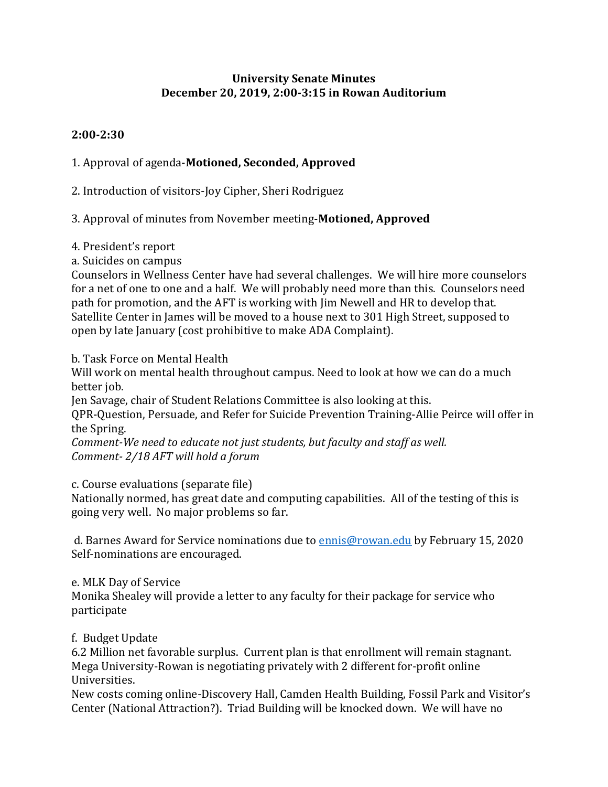#### **University Senate Minutes December 20, 2019, 2:00-3:15 in Rowan Auditorium**

# **2:00-2:30**

# 1. Approval of agenda-**Motioned, Seconded, Approved**

2. Introduction of visitors-Joy Cipher, Sheri Rodriguez

# 3. Approval of minutes from November meeting-**Motioned, Approved**

- 4. President's report
- a. Suicides on campus

Counselors in Wellness Center have had several challenges. We will hire more counselors for a net of one to one and a half. We will probably need more than this. Counselors need path for promotion, and the AFT is working with Jim Newell and HR to develop that. Satellite Center in James will be moved to a house next to 301 High Street, supposed to open by late January (cost prohibitive to make ADA Complaint).

# b. Task Force on Mental Health

Will work on mental health throughout campus. Need to look at how we can do a much better job.

Jen Savage, chair of Student Relations Committee is also looking at this.

QPR-Question, Persuade, and Refer for Suicide Prevention Training-Allie Peirce will offer in the Spring.

*Comment-We need to educate not just students, but faculty and staff as well. Comment- 2/18 AFT will hold a forum* 

c. Course evaluations (separate file)

Nationally normed, has great date and computing capabilities. All of the testing of this is going very well. No major problems so far.

d. Barnes Award for Service nominations due to [ennis@rowan.edu](mailto:ennis@rowan.edu) by February 15, 2020 Self-nominations are encouraged.

# e. MLK Day of Service

Monika Shealey will provide a letter to any faculty for their package for service who participate

# f. Budget Update

6.2 Million net favorable surplus. Current plan is that enrollment will remain stagnant. Mega University-Rowan is negotiating privately with 2 different for-profit online Universities.

New costs coming online-Discovery Hall, Camden Health Building, Fossil Park and Visitor's Center (National Attraction?). Triad Building will be knocked down. We will have no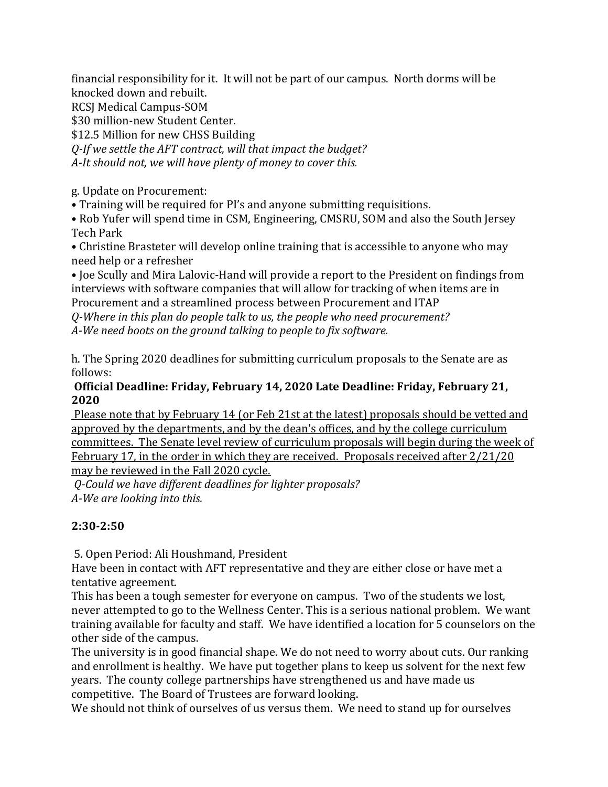financial responsibility for it. It will not be part of our campus. North dorms will be knocked down and rebuilt.

RCSJ Medical Campus-SOM

\$30 million-new Student Center.

\$12.5 Million for new CHSS Building

*Q-If we settle the AFT contract, will that impact the budget? A-It should not, we will have plenty of money to cover this.* 

g. Update on Procurement:

• Training will be required for PI's and anyone submitting requisitions.

• Rob Yufer will spend time in CSM, Engineering, CMSRU, SOM and also the South Jersey Tech Park

• Christine Brasteter will develop online training that is accessible to anyone who may need help or a refresher

• Joe Scully and Mira Lalovic-Hand will provide a report to the President on findings from interviews with software companies that will allow for tracking of when items are in Procurement and a streamlined process between Procurement and ITAP

*Q-Where in this plan do people talk to us, the people who need procurement? A-We need boots on the ground talking to people to fix software.*

h. The Spring 2020 deadlines for submitting curriculum proposals to the Senate are as follows:

#### **Official Deadline: Friday, February 14, 2020 Late Deadline: Friday, February 21, 2020**

Please note that by February 14 (or Feb 21st at the latest) proposals should be vetted and approved by the departments, and by the dean's offices, and by the college curriculum committees. The Senate level review of curriculum proposals will begin during the week of February 17, in the order in which they are received. Proposals received after 2/21/20 may be reviewed in the Fall 2020 cycle.

*Q-Could we have different deadlines for lighter proposals? A-We are looking into this.* 

# **2:30-2:50**

5. Open Period: Ali Houshmand, President

Have been in contact with AFT representative and they are either close or have met a tentative agreement.

This has been a tough semester for everyone on campus. Two of the students we lost, never attempted to go to the Wellness Center. This is a serious national problem. We want training available for faculty and staff. We have identified a location for 5 counselors on the other side of the campus.

The university is in good financial shape. We do not need to worry about cuts. Our ranking and enrollment is healthy. We have put together plans to keep us solvent for the next few years. The county college partnerships have strengthened us and have made us competitive. The Board of Trustees are forward looking.

We should not think of ourselves of us versus them. We need to stand up for ourselves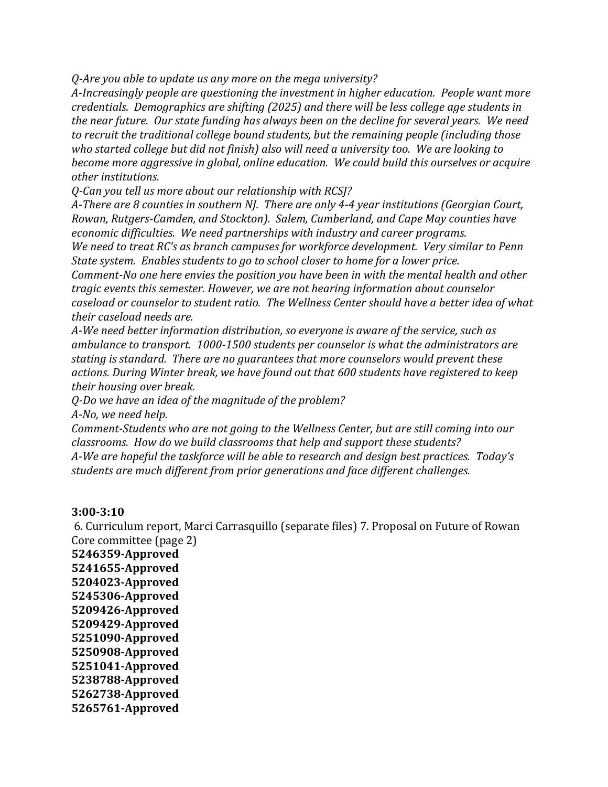*Q-Are you able to update us any more on the mega university?*

*A-Increasingly people are questioning the investment in higher education. People want more credentials. Demographics are shifting (2025) and there will be less college age students in the near future. Our state funding has always been on the decline for several years. We need to recruit the traditional college bound students, but the remaining people (including those who started college but did not finish) also will need a university too. We are looking to become more aggressive in global, online education. We could build this ourselves or acquire other institutions.*

*Q-Can you tell us more about our relationship with RCSJ?*

*A-There are 8 counties in southern NJ. There are only 4-4 year institutions (Georgian Court, Rowan, Rutgers-Camden, and Stockton). Salem, Cumberland, and Cape May counties have economic difficulties. We need partnerships with industry and career programs.*

*We need to treat RC's as branch campuses for workforce development. Very similar to Penn State system. Enables students to go to school closer to home for a lower price.* 

*Comment-No one here envies the position you have been in with the mental health and other tragic events this semester. However, we are not hearing information about counselor caseload or counselor to student ratio. The Wellness Center should have a better idea of what their caseload needs are.*

*A-We need better information distribution, so everyone is aware of the service, such as ambulance to transport. 1000-1500 students per counselor is what the administrators are stating is standard. There are no guarantees that more counselors would prevent these actions. During Winter break, we have found out that 600 students have registered to keep their housing over break.* 

*Q-Do we have an idea of the magnitude of the problem?*

*A-No, we need help.*

*Comment-Students who are not going to the Wellness Center, but are still coming into our classrooms. How do we build classrooms that help and support these students? A-We are hopeful the taskforce will be able to research and design best practices. Today's students are much different from prior generations and face different challenges.* 

#### **3:00-3:10**

6. Curriculum report, Marci Carrasquillo (separate files) 7. Proposal on Future of Rowan Core committee (page 2)

**5246359-Approved 5241655-Approved 5204023-Approved 5245306-Approved 5209426-Approved 5209429-Approved 5251090-Approved 5250908-Approved 5251041-Approved 5238788-Approved 5262738-Approved 5265761-Approved**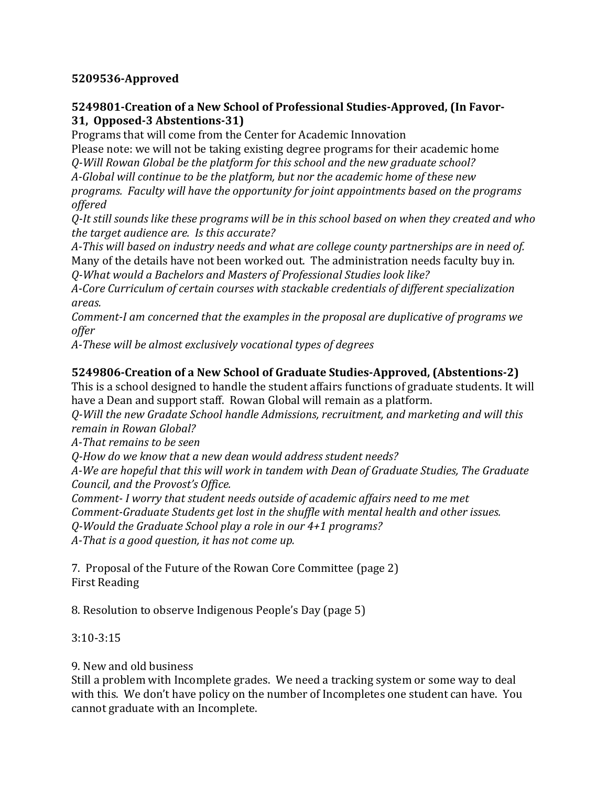# **5209536-Approved**

#### **5249801-Creation of a New School of Professional Studies-Approved, (In Favor-31, Opposed-3 Abstentions-31)**

Programs that will come from the Center for Academic Innovation

Please note: we will not be taking existing degree programs for their academic home *Q-Will Rowan Global be the platform for this school and the new graduate school?*

*A-Global will continue to be the platform, but nor the academic home of these new* 

*programs. Faculty will have the opportunity for joint appointments based on the programs offered*

*Q-It still sounds like these programs will be in this school based on when they created and who the target audience are. Is this accurate?*

*A-This will based on industry needs and what are college county partnerships are in need of.* Many of the details have not been worked out. The administration needs faculty buy in.

*Q-What would a Bachelors and Masters of Professional Studies look like?*

*A-Core Curriculum of certain courses with stackable credentials of different specialization areas.*

*Comment-I am concerned that the examples in the proposal are duplicative of programs we offer*

*A-These will be almost exclusively vocational types of degrees*

# **5249806-Creation of a New School of Graduate Studies-Approved, (Abstentions-2)**

This is a school designed to handle the student affairs functions of graduate students. It will have a Dean and support staff. Rowan Global will remain as a platform.

*Q-Will the new Gradate School handle Admissions, recruitment, and marketing and will this remain in Rowan Global?*

*A-That remains to be seen*

*Q-How do we know that a new dean would address student needs?*

*A-We are hopeful that this will work in tandem with Dean of Graduate Studies, The Graduate Council, and the Provost's Office.*

*Comment- I worry that student needs outside of academic affairs need to me met Comment-Graduate Students get lost in the shuffle with mental health and other issues. Q-Would the Graduate School play a role in our 4+1 programs? A-That is a good question, it has not come up.*

7. Proposal of the Future of the Rowan Core Committee (page 2) First Reading

8. Resolution to observe Indigenous People's Day (page 5)

# 3:10-3:15

9. New and old business

Still a problem with Incomplete grades. We need a tracking system or some way to deal with this. We don't have policy on the number of Incompletes one student can have. You cannot graduate with an Incomplete.